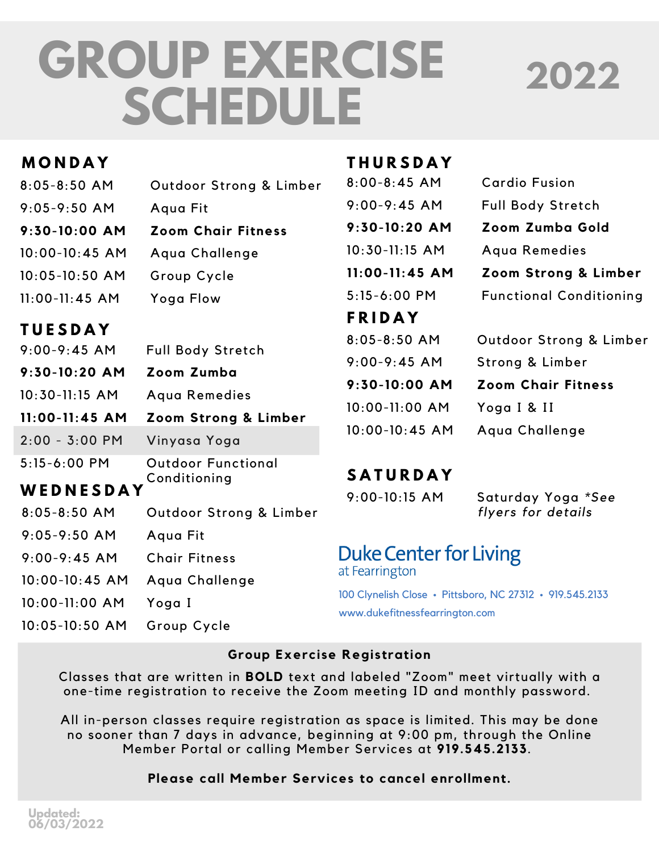# **GROUP EXERCISE SCHEDULE**

## **2022**

| MONDAY                           |                           | <b>THURSDAY</b>                                                                            |                                |
|----------------------------------|---------------------------|--------------------------------------------------------------------------------------------|--------------------------------|
| $8:05 - 8:50$ AM                 | Outdoor Strong & Limber   | $8:00 - 8:45$ AM                                                                           | <b>Cardio Fusion</b>           |
| $9:05 - 9:50$ AM                 | Aqua Fit                  | $9:00 - 9:45$ AM                                                                           | <b>Full Body Stretch</b>       |
| 9:30-10:00 AM                    | <b>Zoom Chair Fitness</b> | 9:30-10:20 AM                                                                              | Zoom Zumba Gold                |
| $10:00 - 10:45$ AM               | Aqua Challenge            | 10:30-11:15 AM                                                                             | Aqua Remedies                  |
| 10:05-10:50 AM                   | Group Cycle               | $11:00 - 11:45$ AM                                                                         | Zoom Strong & Limber           |
| $11:00 - 11:45$ AM               | Yoga Flow                 | 5:15-6:00 PM                                                                               | <b>Functional Conditioning</b> |
|                                  |                           | <b>FRIDAY</b>                                                                              |                                |
| <b>TUESDAY</b><br>$9:00-9:45$ AM |                           | $8:05 - 8:50$ AM                                                                           | Outdoor Strong & Limber        |
|                                  | <b>Full Body Stretch</b>  | $9:00 - 9:45$ AM                                                                           | Strong & Limber                |
| 9:30-10:20 AM                    | Zoom Zumba                | 9:30-10:00 AM                                                                              | <b>Zoom Chair Fitness</b>      |
| 10:30-11:15 AM                   | Aqua Remedies             | 10:00-11:00 AM                                                                             | Yoga I & II                    |
| $11:00 - 11:45$ AM               | Zoom Strong & Limber      |                                                                                            |                                |
| $2:00 - 3:00 P$ M                | Vinyasa Yoga              | 10:00-10:45 AM                                                                             | Aqua Challenge                 |
| 5:15-6:00 PM                     | <b>Outdoor Functional</b> |                                                                                            |                                |
| WEDNESDAY                        | Conditioning              | <b>SATURDAY</b>                                                                            |                                |
|                                  |                           | $9:00 - 10:15$ AM                                                                          | Saturday Yoga *See             |
| $8:05 - 8:50$ AM                 | Outdoor Strong & Limber   |                                                                                            | flyers for details             |
| $9:05 - 9:50$ AM                 | Aqua Fit                  |                                                                                            |                                |
| $9:00 - 9:45$ AM                 | <b>Chair Fitness</b>      | <b>Duke Center for Living</b><br>at Fearrington                                            |                                |
| 10:00-10:45 AM                   | Aqua Challenge            |                                                                                            |                                |
| 10:00-11:00 AM                   | Yoga I                    | 100 Clynelish Close · Pittsboro, NC 27312 · 919.545.2133<br>www.dukefitnessfearrington.com |                                |
| 10:05-10:50 AM                   | Group Cycle               |                                                                                            |                                |

#### **Group Exercise Registration**

Classes that are written in **BOLD** text and labeled "Zoom" meet virtually with a one-time registration to receive the Zoom meeting ID and monthly password.

All in-person classes require registration as space is limited. This may be done no sooner than 7 days in advance, beginning at 9:00 pm, through the Online Member Portal or calling Member Services at **919.545.2133**.

#### **Please call Member Services to cancel enrollment.**